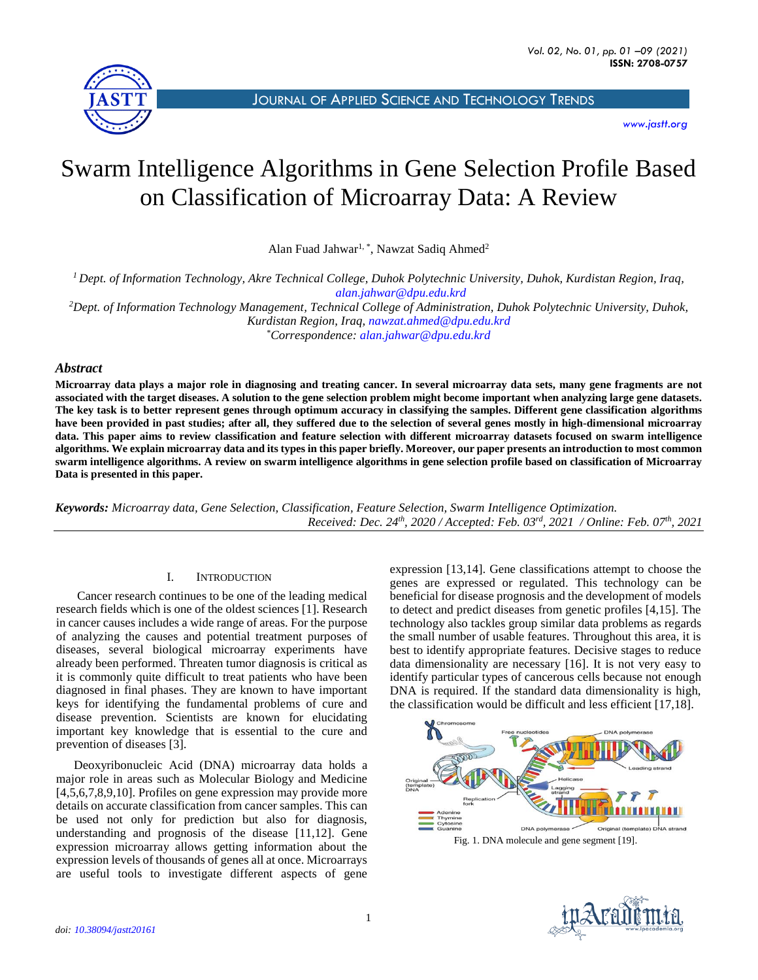

JOURNAL OF APPLIED SCIENCE AND T[ECHNOLOGY](http://jastt.org/index.php/index) TRENDS

*[www.jastt.org](http://www.jastt.org/)*

# Swarm Intelligence Algorithms in Gene Selection Profile Based on Classification of Microarray Data: A Review

Alan Fuad Jahwar<sup>1,\*</sup>, Nawzat Sadiq Ahmed<sup>2</sup>

*<sup>1</sup> Dept. of Information Technology, Akre Technical College, Duhok Polytechnic University, Duhok, Kurdistan Region, Iraq, [alan.jahwar@dpu.edu.krd](mailto:alan.jahwar@dpu.edu.krd) <sup>2</sup>Dept. of Information Technology Management, Technical College of Administration, Duhok Polytechnic University, Duhok,* 

*Kurdistan Region, Iraq, [nawzat.ahmed@dpu.edu.krd](mailto:nawzat.ahmed@dpu.edu.krd)* \**Correspondence: [alan.jahwar@dpu.edu.krd](mailto:alan.jahwar@dpu.edu.krd)*

# *Abstract*

**Microarray data plays a major role in diagnosing and treating cancer. In several microarray data sets, many gene fragments are not associated with the target diseases. A solution to the gene selection problem might become important when analyzing large gene datasets. The key task is to better represent genes through optimum accuracy in classifying the samples. Different gene classification algorithms have been provided in past studies; after all, they suffered due to the selection of several genes mostly in high-dimensional microarray data. This paper aims to review classification and feature selection with different microarray datasets focused on swarm intelligence algorithms. We explain microarray data and its types in this paper briefly. Moreover, our paper presents an introduction to most common swarm intelligence algorithms. A review on swarm intelligence algorithms in gene selection profile based on classification of Microarray Data is presented in this paper.**

*Keywords: Microarray data, Gene Selection, Classification, Feature Selection, Swarm Intelligence Optimization. Received: Dec. 24th , 2020 / Accepted: Feb. 03rd , 2021 / Online: Feb. 07th , 2021*

# I. INTRODUCTION

Cancer research continues to be one of the leading medical research fields which is one of the oldest sciences [1]. Research in cancer causes includes a wide range of areas. For the purpose of analyzing the causes and potential treatment purposes of diseases, several biological microarray experiments have already been performed. Threaten tumor diagnosis is critical as it is commonly quite difficult to treat patients who have been diagnosed in final phases. They are known to have important keys for identifying the fundamental problems of cure and disease prevention. Scientists are known for elucidating important key knowledge that is essential to the cure and prevention of diseases [3].

Deoxyribonucleic Acid (DNA) microarray data holds a major role in areas such as Molecular Biology and Medicine [4,5,6,7,8,9,10]. Profiles on gene expression may provide more details on accurate classification from cancer samples. This can be used not only for prediction but also for diagnosis, understanding and prognosis of the disease [11,12]. Gene expression microarray allows getting information about the expression levels of thousands of genes all at once. Microarrays are useful tools to investigate different aspects of gene

expression [13,14]. Gene classifications attempt to choose the genes are expressed or regulated. This technology can be beneficial for disease prognosis and the development of models to detect and predict diseases from genetic profiles [4,15]. The technology also tackles group similar data problems as regards the small number of usable features. Throughout this area, it is best to identify appropriate features. Decisive stages to reduce data dimensionality are necessary [16]. It is not very easy to identify particular types of cancerous cells because not enough DNA is required. If the standard data dimensionality is high, the classification would be difficult and less efficient [17,18].



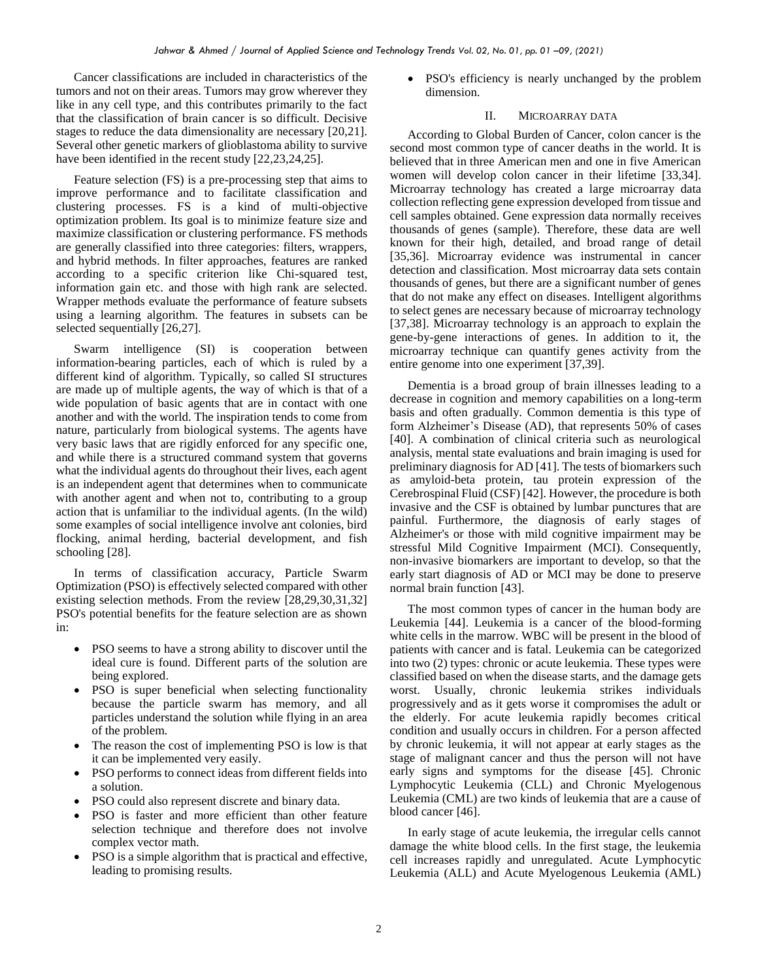Cancer classifications are included in characteristics of the tumors and not on their areas. Tumors may grow wherever they like in any cell type, and this contributes primarily to the fact that the classification of brain cancer is so difficult. Decisive stages to reduce the data dimensionality are necessary [20,21]. Several other genetic markers of glioblastoma ability to survive have been identified in the recent study [22,23,24,25].

Feature selection (FS) is a pre-processing step that aims to improve performance and to facilitate classification and clustering processes. FS is a kind of multi-objective optimization problem. Its goal is to minimize feature size and maximize classification or clustering performance. FS methods are generally classified into three categories: filters, wrappers, and hybrid methods. In filter approaches, features are ranked according to a specific criterion like Chi-squared test, information gain etc. and those with high rank are selected. Wrapper methods evaluate the performance of feature subsets using a learning algorithm. The features in subsets can be selected sequentially [26,27].

Swarm intelligence (SI) is cooperation between information-bearing particles, each of which is ruled by a different kind of algorithm. Typically, so called SI structures are made up of multiple agents, the way of which is that of a wide population of basic agents that are in contact with one another and with the world. The inspiration tends to come from nature, particularly from biological systems. The agents have very basic laws that are rigidly enforced for any specific one, and while there is a structured command system that governs what the individual agents do throughout their lives, each agent is an independent agent that determines when to communicate with another agent and when not to, contributing to a group action that is unfamiliar to the individual agents. (In the wild) some examples of social intelligence involve ant colonies, bird flocking, animal herding, bacterial development, and fish schooling [28].

In terms of classification accuracy, Particle Swarm Optimization (PSO) is effectively selected compared with other existing selection methods. From the review [28,29,30,31,32] PSO's potential benefits for the feature selection are as shown in:

- PSO seems to have a strong ability to discover until the ideal cure is found. Different parts of the solution are being explored.
- PSO is super beneficial when selecting functionality because the particle swarm has memory, and all particles understand the solution while flying in an area of the problem.
- The reason the cost of implementing PSO is low is that it can be implemented very easily.
- PSO performs to connect ideas from different fields into a solution.
- PSO could also represent discrete and binary data.
- PSO is faster and more efficient than other feature selection technique and therefore does not involve complex vector math.
- PSO is a simple algorithm that is practical and effective, leading to promising results.

• PSO's efficiency is nearly unchanged by the problem dimension.

# II. MICROARRAY DATA

According to Global Burden of Cancer, colon cancer is the second most common type of cancer deaths in the world. It is believed that in three American men and one in five American women will develop colon cancer in their lifetime [33,34]. Microarray technology has created a large microarray data collection reflecting gene expression developed from tissue and cell samples obtained. Gene expression data normally receives thousands of genes (sample). Therefore, these data are well known for their high, detailed, and broad range of detail [35,36]. Microarray evidence was instrumental in cancer detection and classification. Most microarray data sets contain thousands of genes, but there are a significant number of genes that do not make any effect on diseases. Intelligent algorithms to select genes are necessary because of microarray technology [37,38]. Microarray technology is an approach to explain the gene-by-gene interactions of genes. In addition to it, the microarray technique can quantify genes activity from the entire genome into one experiment [37,39].

Dementia is a broad group of brain illnesses leading to a decrease in cognition and memory capabilities on a long-term basis and often gradually. Common dementia is this type of form Alzheimer's Disease (AD), that represents 50% of cases [40]. A combination of clinical criteria such as neurological analysis, mental state evaluations and brain imaging is used for preliminary diagnosis for AD [41]. The tests of biomarkers such as amyloid-beta protein, tau protein expression of the Cerebrospinal Fluid (CSF) [42]. However, the procedure is both invasive and the CSF is obtained by lumbar punctures that are painful. Furthermore, the diagnosis of early stages of Alzheimer's or those with mild cognitive impairment may be stressful Mild Cognitive Impairment (MCI). Consequently, non-invasive biomarkers are important to develop, so that the early start diagnosis of AD or MCI may be done to preserve normal brain function [43].

The most common types of cancer in the human body are Leukemia [44]. Leukemia is a cancer of the blood-forming white cells in the marrow. WBC will be present in the blood of patients with cancer and is fatal. Leukemia can be categorized into two (2) types: chronic or acute leukemia. These types were classified based on when the disease starts, and the damage gets worst. Usually, chronic leukemia strikes individuals progressively and as it gets worse it compromises the adult or the elderly. For acute leukemia rapidly becomes critical condition and usually occurs in children. For a person affected by chronic leukemia, it will not appear at early stages as the stage of malignant cancer and thus the person will not have early signs and symptoms for the disease [45]. Chronic Lymphocytic Leukemia (CLL) and Chronic Myelogenous Leukemia (CML) are two kinds of leukemia that are a cause of blood cancer [46].

In early stage of acute leukemia, the irregular cells cannot damage the white blood cells. In the first stage, the leukemia cell increases rapidly and unregulated. Acute Lymphocytic Leukemia (ALL) and Acute Myelogenous Leukemia (AML)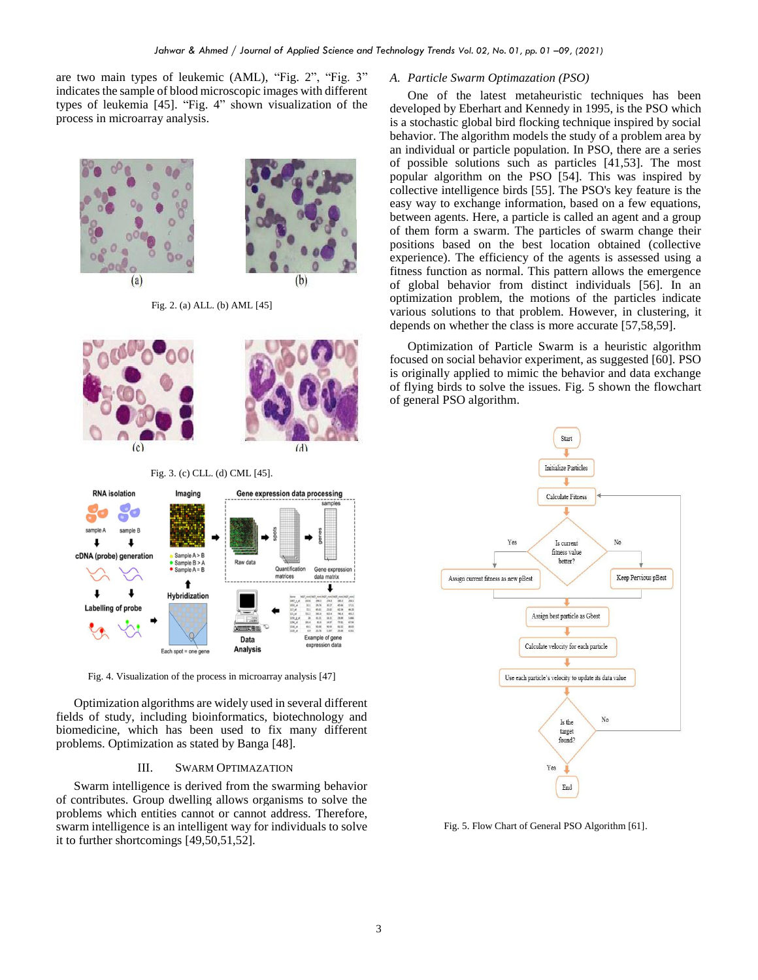are two main types of leukemic (AML), "Fig. 2", "Fig. 3" indicates the sample of blood microscopic images with different types of leukemia [45]. "Fig. 4" shown visualization of the process in microarray analysis.



Fig. 2. (a) ALL. (b) AML [45]



Fig. 4. Visualization of the process in microarray analysis [47]

Optimization algorithms are widely used in several different fields of study, including bioinformatics, biotechnology and biomedicine, which has been used to fix many different problems. Optimization as stated by Banga [48].

## III. SWARM OPTIMAZATION

Swarm intelligence is derived from the swarming behavior of contributes. Group dwelling allows organisms to solve the problems which entities cannot or cannot address. Therefore, swarm intelligence is an intelligent way for individuals to solve it to further shortcomings [49,50,51,52].

#### *A. Particle Swarm Optimazation (PSO)*

One of the latest metaheuristic techniques has been developed by Eberhart and Kennedy in 1995, is the PSO which is a stochastic global bird flocking technique inspired by social behavior. The algorithm models the study of a problem area by an individual or particle population. In PSO, there are a series of possible solutions such as particles [41,53]. The most popular algorithm on the PSO [54]. This was inspired by collective intelligence birds [55]. The PSO's key feature is the easy way to exchange information, based on a few equations, between agents. Here, a particle is called an agent and a group of them form a swarm. The particles of swarm change their positions based on the best location obtained (collective experience). The efficiency of the agents is assessed using a fitness function as normal. This pattern allows the emergence of global behavior from distinct individuals [56]. In an optimization problem, the motions of the particles indicate various solutions to that problem. However, in clustering, it depends on whether the class is more accurate [57,58,59].

Optimization of Particle Swarm is a heuristic algorithm focused on social behavior experiment, as suggested [60]. PSO is originally applied to mimic the behavior and data exchange of flying birds to solve the issues. Fig. 5 shown the flowchart of general PSO algorithm.



Fig. 5. Flow Chart of General PSO Algorithm [61].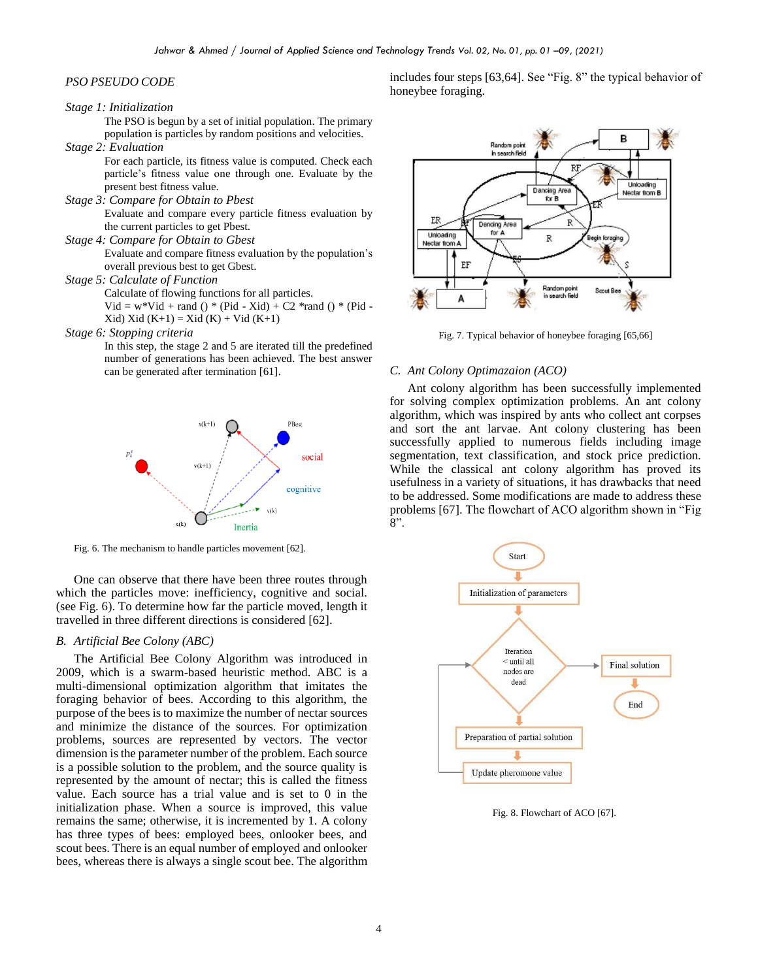# *PSO PSEUDO CODE*

# *Stage 1: Initialization*

The PSO is begun by a set of initial population. The primary population is particles by random positions and velocities.

*Stage 2: Evaluation* 

For each particle, its fitness value is computed. Check each particle's fitness value one through one. Evaluate by the present best fitness value.

*Stage 3: Compare for Obtain to Pbest*

Evaluate and compare every particle fitness evaluation by the current particles to get Pbest.

*Stage 4: Compare for Obtain to Gbest* 

Evaluate and compare fitness evaluation by the population's overall previous best to get Gbest.

*Stage 5: Calculate of Function*

Calculate of flowing functions for all particles.  $Vid = w*Vid + rand() * (Pid - Xid) + C2 * rand() * (Pid - Sid)$ 

 $Xid) Xid (K+1) = Xid (K) + Vid (K+1)$ 

#### *Stage 6: Stopping criteria*

In this step, the stage 2 and 5 are iterated till the predefined number of generations has been achieved. The best answer can be generated after termination [61].



Fig. 6. The mechanism to handle particles movement [62].

One can observe that there have been three routes through which the particles move: inefficiency, cognitive and social. (see Fig. 6). To determine how far the particle moved, length it travelled in three different directions is considered [62].

# *B. Artificial Bee Colony (ABC)*

The Artificial Bee Colony Algorithm was introduced in 2009, which is a swarm-based heuristic method. ABC is a multi-dimensional optimization algorithm that imitates the foraging behavior of bees. According to this algorithm, the purpose of the bees is to maximize the number of nectar sources and minimize the distance of the sources. For optimization problems, sources are represented by vectors. The vector dimension is the parameter number of the problem. Each source is a possible solution to the problem, and the source quality is represented by the amount of nectar; this is called the fitness value. Each source has a trial value and is set to 0 in the initialization phase. When a source is improved, this value remains the same; otherwise, it is incremented by 1. A colony has three types of bees: employed bees, onlooker bees, and scout bees. There is an equal number of employed and onlooker bees, whereas there is always a single scout bee. The algorithm

includes four steps [63,64]. See "Fig. 8" the typical behavior of honeybee foraging.



Fig. 7. Typical behavior of honeybee foraging [65,66]

## *C. Ant Colony Optimazaion (ACO)*

Ant colony algorithm has been successfully implemented for solving complex optimization problems. An ant colony algorithm, which was inspired by ants who collect ant corpses and sort the ant larvae. Ant colony clustering has been successfully applied to numerous fields including image segmentation, text classification, and stock price prediction. While the classical ant colony algorithm has proved its usefulness in a variety of situations, it has drawbacks that need to be addressed. Some modifications are made to address these problems [67]. The flowchart of ACO algorithm shown in "Fig  $8"$ .



Fig. 8. Flowchart of ACO [67].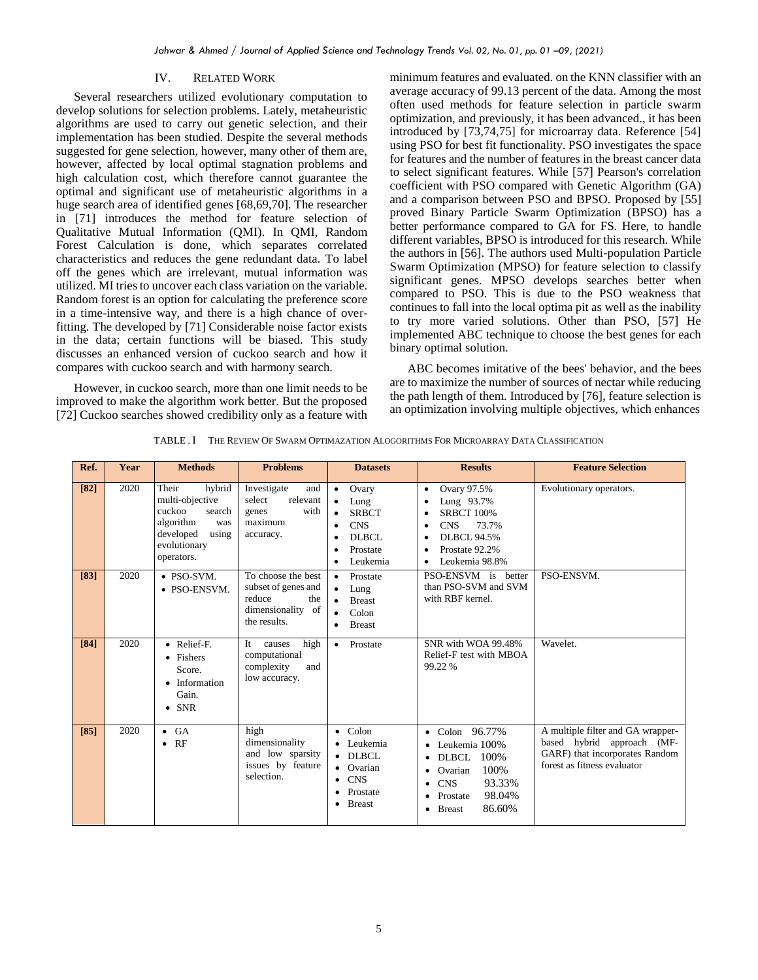## IV. RELATED WORK

Several researchers utilized evolutionary computation to develop solutions for selection problems. Lately, metaheuristic algorithms are used to carry out genetic selection, and their implementation has been studied. Despite the several methods suggested for gene selection, however, many other of them are, however, affected by local optimal stagnation problems and high calculation cost, which therefore cannot guarantee the optimal and significant use of metaheuristic algorithms in a huge search area of identified genes [68,69,70]. The researcher in [71] introduces the method for feature selection of Qualitative Mutual Information (QMI). In QMI, Random Forest Calculation is done, which separates correlated characteristics and reduces the gene redundant data. To label off the genes which are irrelevant, mutual information was utilized. MI tries to uncover each class variation on the variable. Random forest is an option for calculating the preference score in a time-intensive way, and there is a high chance of overfitting. The developed by [71] Considerable noise factor exists in the data; certain functions will be biased. This study discusses an enhanced version of cuckoo search and how it compares with cuckoo search and with harmony search.

However, in cuckoo search, more than one limit needs to be improved to make the algorithm work better. But the proposed [72] Cuckoo searches showed credibility only as a feature with

minimum features and evaluated. on the KNN classifier with an average accuracy of 99.13 percent of the data. Among the most often used methods for feature selection in particle swarm optimization, and previously, it has been advanced., it has been introduced by [73,74,75] for microarray data. Reference [54] using PSO for best fit functionality. PSO investigates the space for features and the number of features in the breast cancer data to select significant features. While [57] Pearson's correlation coefficient with PSO compared with Genetic Algorithm (GA) and a comparison between PSO and BPSO. Proposed by [55] proved Binary Particle Swarm Optimization (BPSO) has a better performance compared to GA for FS. Here, to handle different variables, BPSO is introduced for this research. While the authors in [56]. The authors used Multi-population Particle Swarm Optimization (MPSO) for feature selection to classify significant genes. MPSO develops searches better when compared to PSO. This is due to the PSO weakness that continues to fall into the local optima pit as well as the inability to try more varied solutions. Other than PSO, [57] He implemented ABC technique to choose the best genes for each binary optimal solution.

ABC becomes imitative of the bees' behavior, and the bees are to maximize the number of sources of nectar while reducing the path length of them. Introduced by [76], feature selection is an optimization involving multiple objectives, which enhances

|  | TABLE . I THE REVIEW OF SWARM OPTIMAZATION ALOGORITHMS FOR MICROARRAY DATA CLASSIFICATION |
|--|-------------------------------------------------------------------------------------------|
|  |                                                                                           |

| Ref. | Year | <b>Methods</b>                                                                                                                 | <b>Problems</b>                                                                                 | <b>Datasets</b>                                                                                                                  | <b>Results</b>                                                                                                                                                                                     | <b>Feature Selection</b>                                                                                                         |
|------|------|--------------------------------------------------------------------------------------------------------------------------------|-------------------------------------------------------------------------------------------------|----------------------------------------------------------------------------------------------------------------------------------|----------------------------------------------------------------------------------------------------------------------------------------------------------------------------------------------------|----------------------------------------------------------------------------------------------------------------------------------|
| [82] | 2020 | Their<br>hybrid<br>multi-objective<br>cuckoo<br>search<br>algorithm<br>was<br>developed<br>using<br>evolutionary<br>operators. | Investigate<br>and<br>select<br>relevant<br>with<br>genes<br>maximum<br>accuracy.               | Ovary<br>$\bullet$<br>Lung<br>$\bullet$<br><b>SRBCT</b><br><b>CNS</b><br>$\bullet$<br>DLBCL<br>Prostate<br>$\bullet$<br>Leukemia | Ovary 97.5%<br>٠<br>Lung 93.7%<br><b>SRBCT 100%</b><br>CNS<br>73.7%<br>٠<br><b>DLBCL 94.5%</b><br>Prostate 92.2%<br>$\bullet$<br>Leukemia 98.8%                                                    | Evolutionary operators.                                                                                                          |
| [83] | 2020 | • PSO-SVM.<br>• PSO-ENSVM.                                                                                                     | To choose the best<br>subset of genes and<br>reduce<br>the<br>dimensionality of<br>the results. | Prostate<br>$\bullet$<br>Lung<br>$\bullet$<br><b>Breast</b><br>Colon<br><b>Breast</b><br>٠                                       | PSO-ENSVM is better<br>than PSO-SVM and SVM<br>with RBF kernel.                                                                                                                                    | PSO-ENSVM.                                                                                                                       |
| [84] | 2020 | • Relief-F.<br>• Fishers<br>Score.<br>• Information<br>Gain.<br>$\bullet$ SNR                                                  | high<br>causes<br>It<br>computational<br>complexity<br>and<br>low accuracy.                     | • Prostate                                                                                                                       | SNR with WOA 99.48%<br>Relief-F test with MBOA<br>99.22 %                                                                                                                                          | Wavelet.                                                                                                                         |
| [85] | 2020 | $\bullet$ GA<br>RF<br>$\bullet$                                                                                                | high<br>dimensionality<br>and low sparsity<br>issues by feature<br>selection.                   | $\bullet$ Colon<br>• Leukemia<br>$\bullet$ DLBCL<br>• Ovarian<br><b>CNS</b><br>٠<br>Prostate<br>٠<br><b>Breast</b><br>٠          | Colon 96.77%<br>$\bullet$<br>Leukemia 100%<br>100%<br><b>DLBCL</b><br>٠<br>100%<br>Ovarian<br>93.33%<br><b>CNS</b><br>$\bullet$<br>98.04%<br>Prostate<br>٠<br>86.60%<br><b>Breast</b><br>$\bullet$ | A multiple filter and GA wrapper-<br>based hybrid approach (MF-<br>GARF) that incorporates Random<br>forest as fitness evaluator |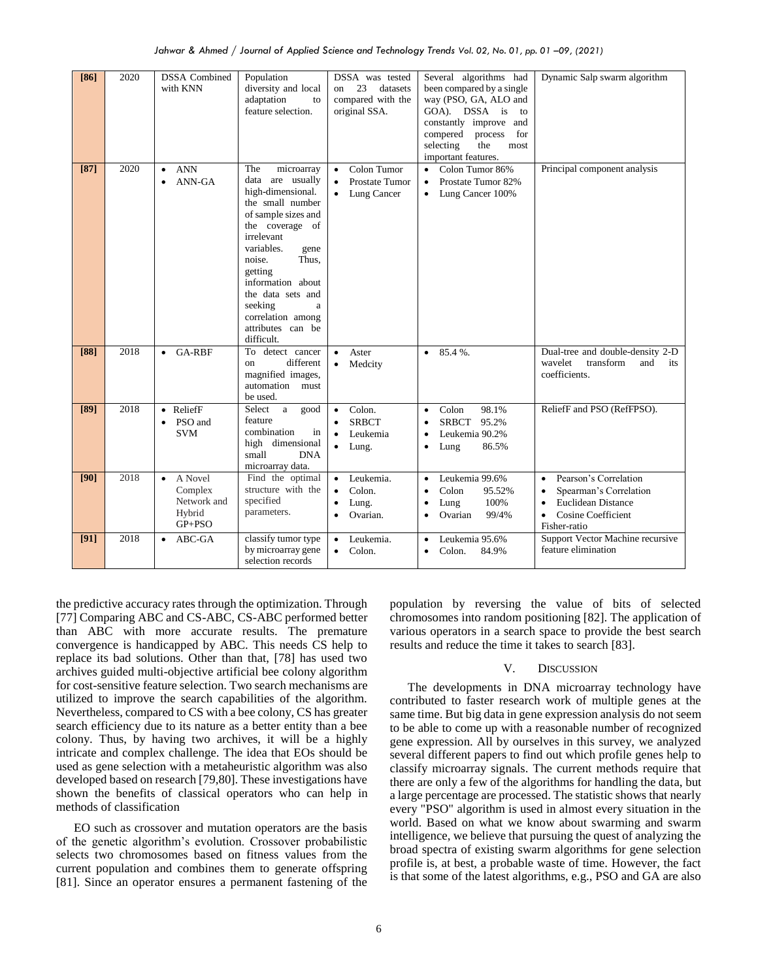| [86]   | 2020 | <b>DSSA</b> Combined<br>with KNN                                       | Population<br>diversity and local<br>adaptation<br>to<br>feature selection.                                                                                                                                                                                                                                  | DSSA was tested<br>23<br>datasets<br>on<br>compared with the<br>original SSA.                | Several algorithms had<br>been compared by a single<br>way (PSO, GA, ALO and<br>GOA). DSSA is<br>to<br>constantly improve and<br>compered<br>process<br>for<br>selecting<br>the<br>most<br>important features. | Dynamic Salp swarm algorithm                                                                                                                                                  |
|--------|------|------------------------------------------------------------------------|--------------------------------------------------------------------------------------------------------------------------------------------------------------------------------------------------------------------------------------------------------------------------------------------------------------|----------------------------------------------------------------------------------------------|----------------------------------------------------------------------------------------------------------------------------------------------------------------------------------------------------------------|-------------------------------------------------------------------------------------------------------------------------------------------------------------------------------|
| $[87]$ | 2020 | <b>ANN</b><br>$\bullet$<br>ANN-GA<br>$\bullet$                         | microarray<br>The<br>data are usually<br>high-dimensional.<br>the small number<br>of sample sizes and<br>the coverage of<br>irrelevant<br>variables.<br>gene<br>noise.<br>Thus.<br>getting<br>information about<br>the data sets and<br>seeking<br>a<br>correlation among<br>attributes can be<br>difficult. | Colon Tumor<br>$\bullet$<br>Prostate Tumor<br>$\bullet$<br>Lung Cancer                       | Colon Tumor 86%<br>Prostate Tumor 82%<br>$\bullet$<br>Lung Cancer 100%                                                                                                                                         | Principal component analysis                                                                                                                                                  |
| [88]   | 2018 | GA-RBF<br>$\bullet$                                                    | To detect cancer<br>different<br><sub>on</sub><br>magnified images,<br>automation must<br>be used.                                                                                                                                                                                                           | Aster<br>$\bullet$<br>Medcity<br>٠                                                           | 85.4%.<br>$\bullet$                                                                                                                                                                                            | Dual-tree and double-density 2-D<br>wavelet<br>transform<br>and<br>its<br>coefficients.                                                                                       |
| [89]   | 2018 | • ReliefF<br>PSO and<br>$\bullet$<br><b>SVM</b>                        | Select<br>a<br>good<br>feature<br>combination<br>in<br>high dimensional<br>small<br><b>DNA</b><br>microarray data.                                                                                                                                                                                           | Colon.<br>$\bullet$<br><b>SRBCT</b><br>Leukemia<br>$\bullet$ Lung.                           | 98.1%<br>Colon<br>$\bullet$<br><b>SRBCT</b><br>95.2%<br>Leukemia 90.2%<br>86.5%<br>Lung<br>٠                                                                                                                   | ReliefF and PSO (RefFPSO).                                                                                                                                                    |
| [90]   | 2018 | A Novel<br>$\bullet$<br>Complex<br>Network and<br>Hybrid<br>$GP + PSO$ | Find the optimal<br>structure with the<br>specified<br>parameters.                                                                                                                                                                                                                                           | Leukemia.<br>$\bullet$<br>Colon.<br>$\bullet$<br>Lung.<br>$\bullet$<br>Ovarian.<br>$\bullet$ | Leukemia 99.6%<br>$\bullet$<br>Colon<br>95.52%<br>$\bullet$<br>100%<br>Lung<br>Ovarian<br>99/4%<br>$\bullet$                                                                                                   | Pearson's Correlation<br>$\bullet$<br>Spearman's Correlation<br>$\bullet$<br><b>Euclidean Distance</b><br>$\bullet$<br><b>Cosine Coefficient</b><br>$\bullet$<br>Fisher-ratio |
| [91]   | 2018 | ABC-GA<br>$\bullet$                                                    | classify tumor type<br>by microarray gene<br>selection records                                                                                                                                                                                                                                               | Leukemia.<br>٠<br>Colon.<br>$\bullet$                                                        | Leukemia 95.6%<br>٠<br>Colon.<br>84.9%                                                                                                                                                                         | Support Vector Machine recursive<br>feature elimination                                                                                                                       |

the predictive accuracy rates through the optimization. Through [77] Comparing ABC and CS-ABC, CS-ABC performed better than ABC with more accurate results. The premature convergence is handicapped by ABC. This needs CS help to replace its bad solutions. Other than that, [78] has used two archives guided multi-objective artificial bee colony algorithm for cost-sensitive feature selection. Two search mechanisms are utilized to improve the search capabilities of the algorithm. Nevertheless, compared to CS with a bee colony, CS has greater search efficiency due to its nature as a better entity than a bee colony. Thus, by having two archives, it will be a highly intricate and complex challenge. The idea that EOs should be used as gene selection with a metaheuristic algorithm was also developed based on research [79,80]. These investigations have shown the benefits of classical operators who can help in methods of classification

EO such as crossover and mutation operators are the basis of the genetic algorithm's evolution. Crossover probabilistic selects two chromosomes based on fitness values from the current population and combines them to generate offspring [81]. Since an operator ensures a permanent fastening of the population by reversing the value of bits of selected chromosomes into random positioning [82]. The application of various operators in a search space to provide the best search results and reduce the time it takes to search [83].

#### V. DISCUSSION

The developments in DNA microarray technology have contributed to faster research work of multiple genes at the same time. But big data in gene expression analysis do not seem to be able to come up with a reasonable number of recognized gene expression. All by ourselves in this survey, we analyzed several different papers to find out which profile genes help to classify microarray signals. The current methods require that there are only a few of the algorithms for handling the data, but a large percentage are processed. The statistic shows that nearly every "PSO" algorithm is used in almost every situation in the world. Based on what we know about swarming and swarm intelligence, we believe that pursuing the quest of analyzing the broad spectra of existing swarm algorithms for gene selection profile is, at best, a probable waste of time. However, the fact is that some of the latest algorithms, e.g., PSO and GA are also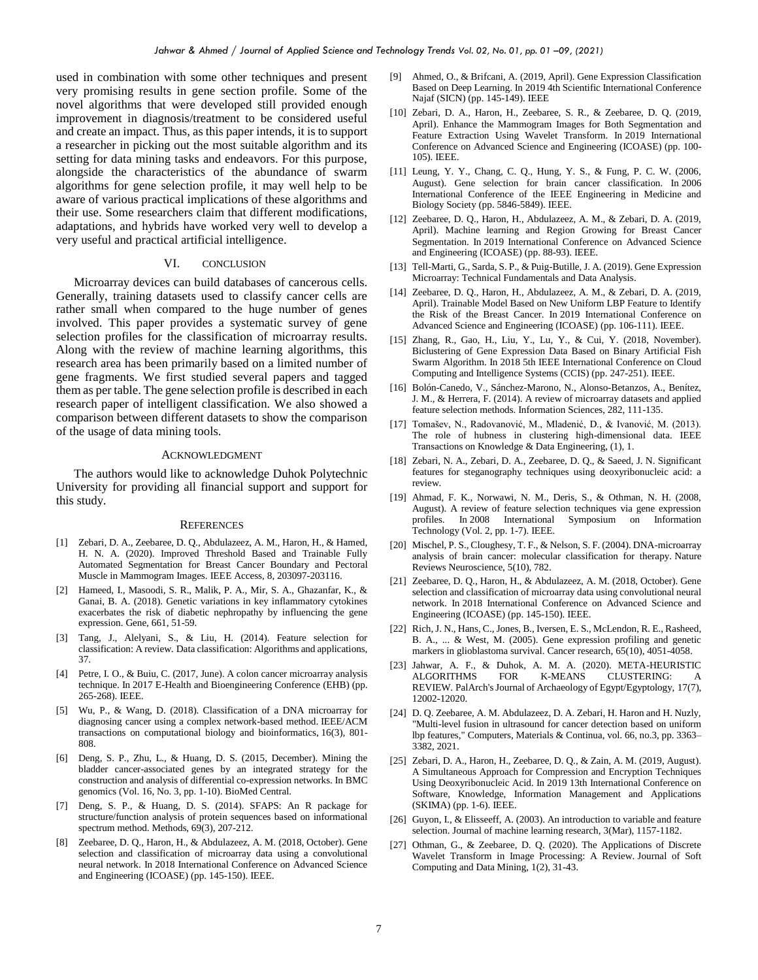used in combination with some other techniques and present very promising results in gene section profile. Some of the novel algorithms that were developed still provided enough improvement in diagnosis/treatment to be considered useful and create an impact. Thus, as this paper intends, it is to support a researcher in picking out the most suitable algorithm and its setting for data mining tasks and endeavors. For this purpose, alongside the characteristics of the abundance of swarm algorithms for gene selection profile, it may well help to be aware of various practical implications of these algorithms and their use. Some researchers claim that different modifications, adaptations, and hybrids have worked very well to develop a very useful and practical artificial intelligence.

## VI. CONCLUSION

Microarray devices can build databases of cancerous cells. Generally, training datasets used to classify cancer cells are rather small when compared to the huge number of genes involved. This paper provides a systematic survey of gene selection profiles for the classification of microarray results. Along with the review of machine learning algorithms, this research area has been primarily based on a limited number of gene fragments. We first studied several papers and tagged them as per table. The gene selection profile is described in each research paper of intelligent classification. We also showed a comparison between different datasets to show the comparison of the usage of data mining tools.

# ACKNOWLEDGMENT

The authors would like to acknowledge Duhok Polytechnic University for providing all financial support and support for this study.

#### **REFERENCES**

- [1] Zebari, D. A., Zeebaree, D. Q., Abdulazeez, A. M., Haron, H., & Hamed, H. N. A. (2020). Improved Threshold Based and Trainable Fully Automated Segmentation for Breast Cancer Boundary and Pectoral Muscle in Mammogram Images. IEEE Access, 8, 203097-203116.
- [2] Hameed, I., Masoodi, S. R., Malik, P. A., Mir, S. A., Ghazanfar, K., & Ganai, B. A. (2018). Genetic variations in key inflammatory cytokines exacerbates the risk of diabetic nephropathy by influencing the gene expression. Gene, 661, 51-59.
- [3] Tang, J., Alelyani, S., & Liu, H. (2014). Feature selection for classification: A review. Data classification: Algorithms and applications, 37.
- [4] Petre, I. O., & Buiu, C. (2017, June). A colon cancer microarray analysis technique. In 2017 E-Health and Bioengineering Conference (EHB) (pp. 265-268). IEEE.
- [5] Wu, P., & Wang, D. (2018). Classification of a DNA microarray for diagnosing cancer using a complex network-based method. IEEE/ACM transactions on computational biology and bioinformatics, 16(3), 801- 808.
- [6] Deng, S. P., Zhu, L., & Huang, D. S. (2015, December). Mining the bladder cancer-associated genes by an integrated strategy for the construction and analysis of differential co-expression networks. In BMC genomics (Vol. 16, No. 3, pp. 1-10). BioMed Central.
- [7] Deng, S. P., & Huang, D. S. (2014). SFAPS: An R package for structure/function analysis of protein sequences based on informational spectrum method. Methods, 69(3), 207-212.
- [8] Zeebaree, D. Q., Haron, H., & Abdulazeez, A. M. (2018, October). Gene selection and classification of microarray data using a convolutional neural network. In 2018 International Conference on Advanced Science and Engineering (ICOASE) (pp. 145-150). IEEE.
- [9] Ahmed, O., & Brifcani, A. (2019, April). Gene Expression Classification Based on Deep Learning. In 2019 4th Scientific International Conference Najaf (SICN) (pp. 145-149). IEEE
- [10] Zebari, D. A., Haron, H., Zeebaree, S. R., & Zeebaree, D. Q. (2019, April). Enhance the Mammogram Images for Both Segmentation and Feature Extraction Using Wavelet Transform. In 2019 International Conference on Advanced Science and Engineering (ICOASE) (pp. 100- 105). IEEE.
- [11] Leung, Y. Y., Chang, C. Q., Hung, Y. S., & Fung, P. C. W. (2006, August). Gene selection for brain cancer classification. In 2006 International Conference of the IEEE Engineering in Medicine and Biology Society (pp. 5846-5849). IEEE.
- [12] Zeebaree, D. Q., Haron, H., Abdulazeez, A. M., & Zebari, D. A. (2019, April). Machine learning and Region Growing for Breast Cancer Segmentation. In 2019 International Conference on Advanced Science and Engineering (ICOASE) (pp. 88-93). IEEE.
- [13] Tell-Marti, G., Sarda, S. P., & Puig-Butille, J. A. (2019). Gene Expression Microarray: Technical Fundamentals and Data Analysis.
- [14] Zeebaree, D. Q., Haron, H., Abdulazeez, A. M., & Zebari, D. A. (2019, April). Trainable Model Based on New Uniform LBP Feature to Identify the Risk of the Breast Cancer. In 2019 International Conference on Advanced Science and Engineering (ICOASE) (pp. 106-111). IEEE.
- [15] Zhang, R., Gao, H., Liu, Y., Lu, Y., & Cui, Y. (2018, November). Biclustering of Gene Expression Data Based on Binary Artificial Fish Swarm Algorithm. In 2018 5th IEEE International Conference on Cloud Computing and Intelligence Systems (CCIS) (pp. 247-251). IEEE.
- [16] Bolón-Canedo, V., Sánchez-Marono, N., Alonso-Betanzos, A., Benítez, J. M., & Herrera, F. (2014). A review of microarray datasets and applied feature selection methods. Information Sciences, 282, 111-135.
- [17] Tomašev, N., Radovanović, M., Mladenić, D., & Ivanović, M. (2013). The role of hubness in clustering high-dimensional data. IEEE Transactions on Knowledge & Data Engineering, (1), 1.
- [18] Zebari, N. A., Zebari, D. A., Zeebaree, D. Q., & Saeed, J. N. Significant features for steganography techniques using deoxyribonucleic acid: a review.
- [19] Ahmad, F. K., Norwawi, N. M., Deris, S., & Othman, N. H. (2008, August). A review of feature selection techniques via gene expression profiles. In 2008 International Symposium on Information Technology (Vol. 2, pp. 1-7). IEEE.
- [20] Mischel, P. S., Cloughesy, T. F., & Nelson, S. F. (2004). DNA-microarray analysis of brain cancer: molecular classification for therapy. Nature Reviews Neuroscience, 5(10), 782.
- [21] Zeebaree, D. Q., Haron, H., & Abdulazeez, A. M. (2018, October). Gene selection and classification of microarray data using convolutional neural network. In 2018 International Conference on Advanced Science and Engineering (ICOASE) (pp. 145-150). IEEE.
- [22] Rich, J. N., Hans, C., Jones, B., Iversen, E. S., McLendon, R. E., Rasheed, B. A., ... & West, M. (2005). Gene expression profiling and genetic markers in glioblastoma survival. Cancer research, 65(10), 4051-4058.
- [23] Jahwar, A. F., & Duhok, A. M. A. (2020). META-HEURISTIC ALGORITHMS FOR K-MEANS CLUSTERING: A REVIEW. PalArch's Journal of Archaeology of Egypt/Egyptology, 17(7), 12002-12020.
- [24] D. Q. Zeebaree, A. M. Abdulazeez, D. A. Zebari, H. Haron and H. Nuzly, "Multi-level fusion in ultrasound for cancer detection based on uniform lbp features," Computers, Materials & Continua, vol. 66, no.3, pp. 3363– 3382, 2021.
- [25] Zebari, D. A., Haron, H., Zeebaree, D. Q., & Zain, A. M. (2019, August). A Simultaneous Approach for Compression and Encryption Techniques Using Deoxyribonucleic Acid. In 2019 13th International Conference on Software, Knowledge, Information Management and Applications (SKIMA) (pp. 1-6). IEEE.
- [26] Guyon, I., & Elisseeff, A. (2003). An introduction to variable and feature selection. Journal of machine learning research, 3(Mar), 1157-1182.
- Othman, G., & Zeebaree, D. Q. (2020). The Applications of Discrete Wavelet Transform in Image Processing: A Review. Journal of Soft Computing and Data Mining, 1(2), 31-43.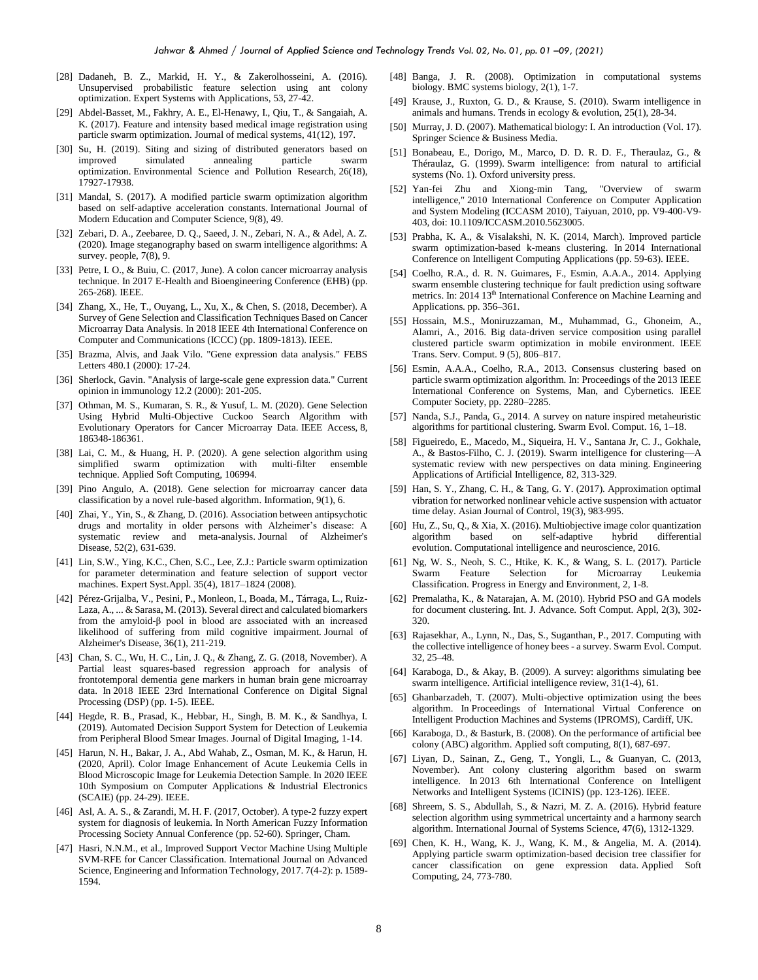- [28] Dadaneh, B. Z., Markid, H. Y., & Zakerolhosseini, A. (2016). Unsupervised probabilistic feature selection using ant colony optimization. Expert Systems with Applications, 53, 27-42.
- [29] Abdel-Basset, M., Fakhry, A. E., El-Henawy, I., Qiu, T., & Sangaiah, A. K. (2017). Feature and intensity based medical image registration using particle swarm optimization. Journal of medical systems, 41(12), 197.
- [30] Su, H. (2019). Siting and sizing of distributed generators based on improved simulated annealing particle swarm optimization. Environmental Science and Pollution Research, 26(18), 17927-17938.
- [31] Mandal, S. (2017). A modified particle swarm optimization algorithm based on self-adaptive acceleration constants. International Journal of Modern Education and Computer Science, 9(8), 49.
- [32] Zebari, D. A., Zeebaree, D. Q., Saeed, J. N., Zebari, N. A., & Adel, A. Z. (2020). Image steganography based on swarm intelligence algorithms: A survey. people, 7(8), 9.
- [33] Petre, I. O., & Buiu, C. (2017, June). A colon cancer microarray analysis technique. In 2017 E-Health and Bioengineering Conference (EHB) (pp. 265-268). IEEE.
- [34] Zhang, X., He, T., Ouyang, L., Xu, X., & Chen, S. (2018, December). A Survey of Gene Selection and Classification Techniques Based on Cancer Microarray Data Analysis. In 2018 IEEE 4th International Conference on Computer and Communications (ICCC) (pp. 1809-1813). IEEE.
- [35] Brazma, Alvis, and Jaak Vilo. "Gene expression data analysis." FEBS Letters 480.1 (2000): 17-24.
- [36] Sherlock, Gavin. "Analysis of large-scale gene expression data." Current opinion in immunology 12.2 (2000): 201-205.
- [37] Othman, M. S., Kumaran, S. R., & Yusuf, L. M. (2020). Gene Selection Using Hybrid Multi-Objective Cuckoo Search Algorithm with Evolutionary Operators for Cancer Microarray Data. IEEE Access, 8, 186348-186361.
- [38] Lai, C. M., & Huang, H. P. (2020). A gene selection algorithm using simplified swarm optimization with multi-filter ensemble technique. Applied Soft Computing, 106994.
- [39] Pino Angulo, A. (2018). Gene selection for microarray cancer data classification by a novel rule-based algorithm. Information, 9(1), 6.
- [40] Zhai, Y., Yin, S., & Zhang, D. (2016). Association between antipsychotic drugs and mortality in older persons with Alzheimer's disease: A systematic review and meta-analysis. Journal of Alzheimer's Disease, 52(2), 631-639.
- [41] Lin, S.W., Ying, K.C., Chen, S.C., Lee, Z.J.: Particle swarm optimization for parameter determination and feature selection of support vector machines. Expert Syst.Appl. 35(4), 1817–1824 (2008).
- [42] Pérez-Grijalba, V., Pesini, P., Monleon, I., Boada, M., Tárraga, L., Ruiz-Laza, A., ... & Sarasa, M. (2013). Several direct and calculated biomarkers from the amyloid-β pool in blood are associated with an increased likelihood of suffering from mild cognitive impairment. Journal of Alzheimer's Disease, 36(1), 211-219.
- [43] Chan, S. C., Wu, H. C., Lin, J. Q., & Zhang, Z. G. (2018, November). A Partial least squares-based regression approach for analysis of frontotemporal dementia gene markers in human brain gene microarray data. In 2018 IEEE 23rd International Conference on Digital Signal Processing (DSP) (pp. 1-5). IEEE.
- [44] Hegde, R. B., Prasad, K., Hebbar, H., Singh, B. M. K., & Sandhya, I. (2019). Automated Decision Support System for Detection of Leukemia from Peripheral Blood Smear Images. Journal of Digital Imaging, 1-14.
- [45] Harun, N. H., Bakar, J. A., Abd Wahab, Z., Osman, M. K., & Harun, H. (2020, April). Color Image Enhancement of Acute Leukemia Cells in Blood Microscopic Image for Leukemia Detection Sample. In 2020 IEEE 10th Symposium on Computer Applications & Industrial Electronics (SCAIE) (pp. 24-29). IEEE.
- [46] Asl, A. A. S., & Zarandi, M. H. F. (2017, October). A type-2 fuzzy expert system for diagnosis of leukemia. In North American Fuzzy Information Processing Society Annual Conference (pp. 52-60). Springer, Cham.
- [47] Hasri, N.N.M., et al., Improved Support Vector Machine Using Multiple SVM-RFE for Cancer Classification. International Journal on Advanced Science, Engineering and Information Technology, 2017. 7(4-2): p. 1589- 1594.
- [48] Banga, J. R. (2008). Optimization in computational systems biology. BMC systems biology, 2(1), 1-7.
- [49] Krause, J., Ruxton, G. D., & Krause, S. (2010). Swarm intelligence in animals and humans. Trends in ecology & evolution, 25(1), 28-34.
- [50] Murray, J. D. (2007). Mathematical biology: I. An introduction (Vol. 17). Springer Science & Business Media.
- [51] Bonabeau, E., Dorigo, M., Marco, D. D. R. D. F., Theraulaz, G., & Théraulaz, G. (1999). Swarm intelligence: from natural to artificial systems (No. 1). Oxford university press.
- [52] Yan-fei Zhu and Xiong-min Tang, "Overview of swarm intelligence," 2010 International Conference on Computer Application and System Modeling (ICCASM 2010), Taiyuan, 2010, pp. V9-400-V9- 403, doi: 10.1109/ICCASM.2010.5623005.
- [53] Prabha, K. A., & Visalakshi, N. K. (2014, March). Improved particle swarm optimization-based k-means clustering. In 2014 International Conference on Intelligent Computing Applications (pp. 59-63). IEEE.
- [54] Coelho, R.A., d. R. N. Guimares, F., Esmin, A.A.A., 2014. Applying swarm ensemble clustering technique for fault prediction using software metrics. In: 2014 13<sup>th</sup> International Conference on Machine Learning and Applications. pp. 356–361.
- [55] Hossain, M.S., Moniruzzaman, M., Muhammad, G., Ghoneim, A., Alamri, A., 2016. Big data-driven service composition using parallel clustered particle swarm optimization in mobile environment. IEEE Trans. Serv. Comput. 9 (5), 806–817.
- [56] Esmin, A.A.A., Coelho, R.A., 2013. Consensus clustering based on particle swarm optimization algorithm. In: Proceedings of the 2013 IEEE International Conference on Systems, Man, and Cybernetics. IEEE Computer Society, pp. 2280–2285.
- [57] Nanda, S.J., Panda, G., 2014. A survey on nature inspired metaheuristic algorithms for partitional clustering. Swarm Evol. Comput. 16, 1–18.
- [58] Figueiredo, E., Macedo, M., Siqueira, H. V., Santana Jr, C. J., Gokhale, A., & Bastos-Filho, C. J. (2019). Swarm intelligence for clustering—A systematic review with new perspectives on data mining. Engineering Applications of Artificial Intelligence, 82, 313-329.
- [59] Han, S. Y., Zhang, C. H., & Tang, G. Y. (2017). Approximation optimal vibration for networked nonlinear vehicle active suspension with actuator time delay. Asian Journal of Control, 19(3), 983-995.
- [60] Hu, Z., Su, Q., & Xia, X. (2016). Multiobjective image color quantization algorithm based on self-adaptive hybrid differential evolution. Computational intelligence and neuroscience, 2016.
- [61] Ng, W. S., Neoh, S. C., Htike, K. K., & Wang, S. L. (2017). Particle Swarm Feature Selection for Microarray Leukemia Classification. Progress in Energy and Environment, 2, 1-8.
- [62] Premalatha, K., & Natarajan, A. M. (2010). Hybrid PSO and GA models for document clustering. Int. J. Advance. Soft Comput. Appl, 2(3), 302- 320.
- [63] Rajasekhar, A., Lynn, N., Das, S., Suganthan, P., 2017. Computing with the collective intelligence of honey bees - a survey. Swarm Evol. Comput. 32, 25–48.
- [64] Karaboga, D., & Akay, B. (2009). A survey: algorithms simulating bee swarm intelligence. Artificial intelligence review, 31(1-4), 61.
- [65] Ghanbarzadeh, T. (2007). Multi-objective optimization using the bees algorithm. In Proceedings of International Virtual Conference on Intelligent Production Machines and Systems (IPROMS), Cardiff, UK.
- [66] Karaboga, D., & Basturk, B. (2008). On the performance of artificial bee colony (ABC) algorithm. Applied soft computing, 8(1), 687-697.
- [67] Liyan, D., Sainan, Z., Geng, T., Yongli, L., & Guanyan, C. (2013, November). Ant colony clustering algorithm based on swarm intelligence. In 2013 6th International Conference on Intelligent Networks and Intelligent Systems (ICINIS) (pp. 123-126). IEEE.
- [68] Shreem, S. S., Abdullah, S., & Nazri, M. Z. A. (2016). Hybrid feature selection algorithm using symmetrical uncertainty and a harmony search algorithm. International Journal of Systems Science, 47(6), 1312-1329.
- [69] Chen, K. H., Wang, K. J., Wang, K. M., & Angelia, M. A. (2014). Applying particle swarm optimization-based decision tree classifier for cancer classification on gene expression data. Applied Soft Computing, 24, 773-780.